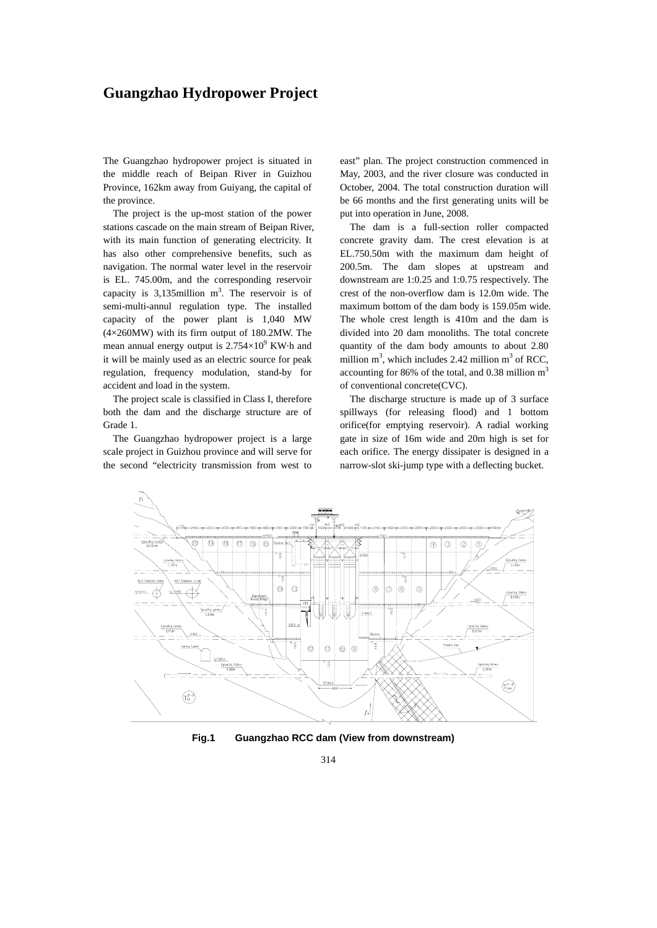## **Guangzhao Hydropower Project**

The Guangzhao hydropower project is situated in the middle reach of Beipan River in Guizhou Province, 162km away from Guiyang, the capital of the province.

The project is the up-most station of the power stations cascade on the main stream of Beipan River, with its main function of generating electricity. It has also other comprehensive benefits, such as navigation. The normal water level in the reservoir is EL. 745.00m, and the corresponding reservoir capacity is  $3,135$ million m<sup>3</sup>. The reservoir is of semi-multi-annul regulation type. The installed capacity of the power plant is 1,040 MW (4×260MW) with its firm output of 180.2MW. The mean annual energy output is  $2.754\times10^{9}$  KW $\cdot$ h and it will be mainly used as an electric source for peak regulation, frequency modulation, stand-by for accident and load in the system.

The project scale is classified in Class I, therefore both the dam and the discharge structure are of Grade 1.

The Guangzhao hydropower project is a large scale project in Guizhou province and will serve for the second "electricity transmission from west to

east" plan. The project construction commenced in May, 2003, and the river closure was conducted in October, 2004. The total construction duration will be 66 months and the first generating units will be put into operation in June, 2008.

The dam is a full-section roller compacted concrete gravity dam. The crest elevation is at EL.750.50m with the maximum dam height of 200.5m. The dam slopes at upstream and downstream are 1:0.25 and 1:0.75 respectively. The crest of the non-overflow dam is 12.0m wide. The maximum bottom of the dam body is 159.05m wide. The whole crest length is 410m and the dam is divided into 20 dam monoliths. The total concrete quantity of the dam body amounts to about 2.80 million  $m^3$ , which includes 2.42 million  $m^3$  of RCC, accounting for 86% of the total, and 0.38 million  $m<sup>3</sup>$ of conventional concrete(CVC).

The discharge structure is made up of 3 surface spillways (for releasing flood) and 1 bottom orifice(for emptying reservoir). A radial working gate in size of 16m wide and 20m high is set for each orifice. The energy dissipater is designed in a narrow-slot ski-jump type with a deflecting bucket.



**Fig.1 Guangzhao RCC dam (View from downstream)**